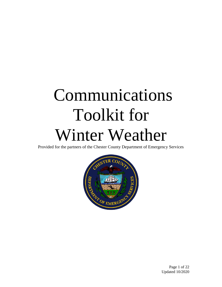# Communications Toolkit for Winter Weather

Provided for the partners of the Chester County Department of Emergency Services



Page 1 of 22 Updated 10/2020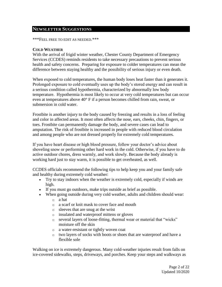#### **NEWSLETTER SUGGESTIONS**

\*\*\*FEEL FREE TO EDIT AS NEEDED.\*\*\*

#### **COLD WEATHER**

With the arrival of frigid winter weather, Chester County Department of Emergency Services (CCDES) reminds residents to take necessary precautions to prevent serious health and safety concerns. Preparing for exposure to colder temperatures can mean the difference between staying healthy and the possibility of serious injury or even death.

When exposed to cold temperatures, the human body loses heat faster than it generates it. Prolonged exposure to cold eventually uses up the body's stored energy and can result in a serious condition called hypothermia, characterized by abnormally low body temperature. Hypothermia is most likely to occur at very cold temperatures but can occur even at temperatures above 40° F if a person becomes chilled from rain, sweat, or submersion in cold water.

Frostbite is another injury to the body caused by freezing and results in a loss of feeling and color in affected areas. It most often affects the nose, ears, cheeks, chin, fingers, or toes. Frostbite can permanently damage the body, and severe cases can lead to amputation. The risk of frostbite is increased in people with reduced blood circulation and among people who are not dressed properly for extremely cold temperatures.

If you have heart disease or high blood pressure, follow your doctor's advice about shoveling snow or performing other hard work in the cold. Otherwise, if you have to do active outdoor chores, dress warmly, and work slowly. Because the body already is working hard just to stay warm, it is possible to get overheated, as well.

CCDES officials recommend the following tips to help keep you and your family safe and healthy during extremely cold weather:

- Try to stay indoors when the weather is extremely cold, especially if winds are high.
- If you must go outdoors, make trips outside as brief as possible.
- When going outside during very cold weather, adults and children should wear: o a hat
	- o a scarf or knit mask to cover face and mouth
	- o sleeves that are snug at the wrist
	- o insulated and waterproof mittens or gloves
	- o several layers of loose-fitting, thermal wear or material that "wicks" moisture off the skin
	- o a water-resistant or tightly woven coat
	- o two layers of socks with boots or shoes that are waterproof and have a flexible sole

Walking on ice is extremely dangerous. Many cold-weather injuries result from falls on ice-covered sidewalks, steps, driveways, and porches. Keep your steps and walkways as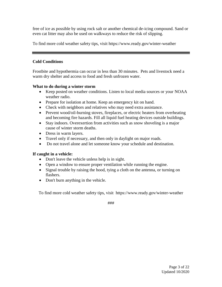free of ice as possible by using rock salt or another chemical de-icing compound. Sand or even cat litter may also be used on walkways to reduce the risk of slipping.

To find more cold weather safety tips, visit https://www.ready.gov/winter-weather

### **Cold Conditions**

Frostbite and hypothermia can occur in less than 30 minutes. Pets and livestock need a warm dry shelter and access to food and fresh unfrozen water.

### **What to do during a winter storm**

- Keep posted on weather conditions. Listen to local media sources or your NOAA weather radio.
- Prepare for isolation at home. Keep an emergency kit on hand.
- Check with neighbors and relatives who may need extra assistance.
- Prevent wood/oil-burning stoves, fireplaces, or electric heaters from overheating and becoming fire hazards. Fill all liquid fuel heating devices outside buildings.
- Stay indoors. Overexertion from activities such as snow shoveling is a major cause of winter storm deaths.
- Dress in warm layers.
- Travel only if necessary, and then only in daylight on major roads.
- Do not travel alone and let someone know your schedule and destination.

## **If caught in a vehicle:**

- Don't leave the vehicle unless help is in sight.
- Open a window to ensure proper ventilation while running the engine.
- Signal trouble by raising the hood, tying a cloth on the antenna, or turning on flashers.
- Don't burn anything in the vehicle.

To find more cold weather safety tips, visit https://www.ready.gov/winter-weather

###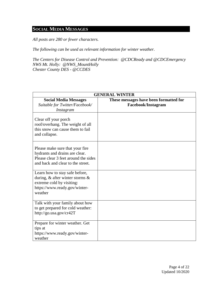## **SOCIAL MEDIA MESSAGES**

*All posts are 280 or fewer characters.*

*The following can be used as relevant information for winter weather.*

*The Centers for Disease Control and Prevention: @CDCReady and @CDCEmergency NWS Mt. Holly: @NWS\_MountHolly Chester County DES - @CCDES*

| <b>GENERAL WINTER</b>                                                                                                                            |                                                              |  |
|--------------------------------------------------------------------------------------------------------------------------------------------------|--------------------------------------------------------------|--|
| <b>Social Media Messages</b><br>Suitable for Twitter/Facebook/<br>Instagram                                                                      | These messages have been formatted for<br>Facebook/Instagram |  |
| Clear off your porch<br>roof/overhang. The weight of all<br>this snow can cause them to fail<br>and collapse.                                    |                                                              |  |
| Please make sure that your fire<br>hydrants and drains are clear.<br>Please clear 3 feet around the sides<br>and back and clear to the street.   |                                                              |  |
| Learn how to stay safe before,<br>during, $\&$ after winter storms $\&$<br>extreme cold by visiting:<br>https://www.ready.gov/winter-<br>weather |                                                              |  |
| Talk with your family about how<br>to get prepared for cold weather:<br>http://go.usa.gov/cr42T                                                  |                                                              |  |
| Prepare for winter weather. Get<br>tips at<br>https://www.ready.gov/winter-<br>weather                                                           |                                                              |  |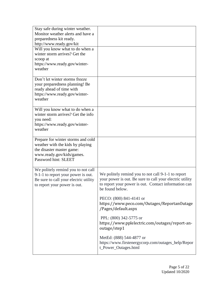| Stay safe during winter weather.<br>Monitor weather alerts and have a<br>preparedness kit ready.<br>http://www.ready.gov/kit<br>Will you know what to do when a<br>winter storm arrives? Get the<br>scoop at<br>https://www.ready.gov/winter-<br>weather |                                                                                                                                                                                           |
|----------------------------------------------------------------------------------------------------------------------------------------------------------------------------------------------------------------------------------------------------------|-------------------------------------------------------------------------------------------------------------------------------------------------------------------------------------------|
| Don't let winter storms freeze<br>your preparedness planning! Be<br>ready ahead of time with<br>https://www.ready.gov/winter-<br>weather                                                                                                                 |                                                                                                                                                                                           |
| Will you know what to do when a<br>winter storm arrives? Get the info<br>you need:<br>https://www.ready.gov/winter-<br>weather                                                                                                                           |                                                                                                                                                                                           |
| Prepare for winter storms and cold<br>weather with the kids by playing<br>the disaster master game:<br>www.ready.gov/kids/games.<br>Password hint: SLEET                                                                                                 |                                                                                                                                                                                           |
| We politely remind you to not call<br>9-1-1 to report your power is out.<br>Be sure to call your electric utility<br>to report your power is out.                                                                                                        | We politely remind you to not call 9-1-1 to report<br>your power is out. Be sure to call your electric utility<br>to report your power is out. Contact information can<br>be found below. |
|                                                                                                                                                                                                                                                          | PECO: (800) 841-4141 or<br>https://www.peco.com/Outages/ReportanOutage<br>/Pages/default.aspx                                                                                             |
|                                                                                                                                                                                                                                                          | PPL: (800) 342-5775 or<br>https://www.pplelectric.com/outages/report-an-<br>outage/step1                                                                                                  |
|                                                                                                                                                                                                                                                          | MetEd: (888) 544-4877 or<br>https://www.firstenergycorp.com/outages_help/Repor<br>t_Power_Outages.html                                                                                    |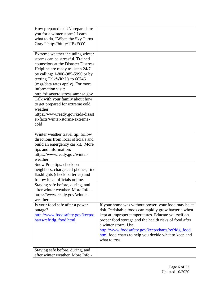| How prepared or UNprepared are<br>you for a winter storm? Learn<br>what to do, "When the Sky Turns<br>Gray." http://bit.ly/1IBzFOY                                                                                                                                                                                                                                                                                                                                             |                                                                                                                                                                                                                                                                                                                                                                                     |
|--------------------------------------------------------------------------------------------------------------------------------------------------------------------------------------------------------------------------------------------------------------------------------------------------------------------------------------------------------------------------------------------------------------------------------------------------------------------------------|-------------------------------------------------------------------------------------------------------------------------------------------------------------------------------------------------------------------------------------------------------------------------------------------------------------------------------------------------------------------------------------|
| Extreme weather including winter<br>storms can be stressful. Trained<br>counselors at the Disaster Distress<br>Helpline are ready to listen 24/7<br>by calling: 1-800-985-5990 or by<br>texting TalkWithUs to 66746<br>(msg/data rates apply). For more<br>information visit:<br>http://disasterdistress.samhsa.gov<br>Talk with your family about how<br>to get prepared for extreme cold<br>weather:<br>https://www.ready.gov/kids/disast<br>er-facts/winter-storms-extreme- |                                                                                                                                                                                                                                                                                                                                                                                     |
| cold<br>Winter weather travel tip: follow<br>directions from local officials and<br>build an emergency car kit. More<br>tips and information:<br>https://www.ready.gov/winter-<br>weather                                                                                                                                                                                                                                                                                      |                                                                                                                                                                                                                                                                                                                                                                                     |
| Snow Prep tips: check on<br>neighbors, charge cell phones, find<br>flashlights (check batteries) and<br>follow local officials online.                                                                                                                                                                                                                                                                                                                                         |                                                                                                                                                                                                                                                                                                                                                                                     |
| Staying safe before, during, and<br>after winter weather. More Info -<br>https://www.ready.gov/winter-<br>weather                                                                                                                                                                                                                                                                                                                                                              |                                                                                                                                                                                                                                                                                                                                                                                     |
| Is your food safe after a power<br>outage?<br>http://www.foodsafety.gov/keep/c<br>harts/refridg_food.html                                                                                                                                                                                                                                                                                                                                                                      | If your home was without power, your food may be at<br>risk. Perishable foods can rapidly grow bacteria when<br>kept at improper temperatures. Educate yourself on<br>proper food storage and the health risks of food after<br>a winter storm. Use<br>http://www.foodsafety.gov/keep/charts/refridg_food.<br>html food charts to help you decide what to keep and<br>what to toss. |
| Staying safe before, during, and<br>after winter weather. More Info -                                                                                                                                                                                                                                                                                                                                                                                                          |                                                                                                                                                                                                                                                                                                                                                                                     |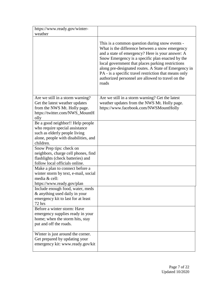| https://www.ready.gov/winter-<br>weather                                                                                                                 |                                                                                                                                                                                                                                                                                                                                                                                                                                               |
|----------------------------------------------------------------------------------------------------------------------------------------------------------|-----------------------------------------------------------------------------------------------------------------------------------------------------------------------------------------------------------------------------------------------------------------------------------------------------------------------------------------------------------------------------------------------------------------------------------------------|
|                                                                                                                                                          | This is a common question during snow events -<br>What is the difference between a snow emergency<br>and a state of emergency? Here is your answer: A<br>Snow Emergency is a specific plan enacted by the<br>local government that places parking restrictions<br>along pre-designated routes. A State of Emergency in<br>PA - is a specific travel restriction that means only<br>authorized personnel are allowed to travel on the<br>roads |
| Are we still in a storm warning?<br>Get the latest weather updates<br>from the NWS Mt. Holly page.<br>https://twitter.com/NWS_MountH<br>olly             | Are we still in a storm warning? Get the latest<br>weather updates from the NWS Mt. Holly page.<br>https://www.facebook.com/NWSMountHolly                                                                                                                                                                                                                                                                                                     |
| Be a good neighbor!! Help people<br>who require special assistance<br>such as elderly people living<br>alone, people with disabilities, and<br>children. |                                                                                                                                                                                                                                                                                                                                                                                                                                               |
| Snow Prep tips: check on<br>neighbors, charge cell phones, find<br>flashlights (check batteries) and<br>follow local officials online.                   |                                                                                                                                                                                                                                                                                                                                                                                                                                               |
| Make a plan to connect before a<br>winter storm by text, e-mail, social<br>media & cell:<br>https://www.ready.gov/plan                                   |                                                                                                                                                                                                                                                                                                                                                                                                                                               |
| Include enough food, water, meds<br>& anything used daily in your<br>emergency kit to last for at least<br>72 hrs                                        |                                                                                                                                                                                                                                                                                                                                                                                                                                               |
| Before a winter storm: Have<br>emergency supplies ready in your<br>home; when the storm hits, stay<br>put and off the roads.                             |                                                                                                                                                                                                                                                                                                                                                                                                                                               |
| Winter is just around the corner.<br>Get prepared by updating your<br>emergency kit: www.ready.gov/kit                                                   |                                                                                                                                                                                                                                                                                                                                                                                                                                               |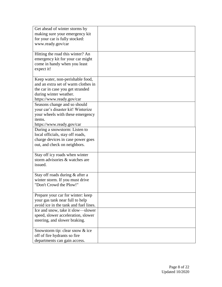| Get ahead of winter storms by<br>making sure your emergency kit<br>for your car is fully stocked:<br>www.ready.gov/car<br>Hitting the road this winter? An<br>emergency kit for your car might |  |
|------------------------------------------------------------------------------------------------------------------------------------------------------------------------------------------------|--|
| come in handy when you least<br>expect it!                                                                                                                                                     |  |
| Keep water, non-perishable food,<br>and an extra set of warm clothes in<br>the car in case you get stranded<br>during winter weather.<br>https://www.ready.gov/car                             |  |
| Seasons change and so should<br>your car's disaster kit! Winterize<br>your wheels with these emergency<br>items.<br>https://www.ready.gov/car                                                  |  |
| During a snowstorm: Listen to<br>local officials, stay off roads,<br>charge devices in case power goes<br>out, and check on neighbors.                                                         |  |
| Stay off icy roads when winter<br>storm advisories & watches are<br>issued.                                                                                                                    |  |
| Stay off roads during & after a<br>winter storm. If you must drive<br>"Don't Crowd the Plow!"                                                                                                  |  |
| Prepare your car for winter: keep<br>your gas tank near full to help<br>avoid ice in the tank and fuel lines.                                                                                  |  |
| Ice and snow, take it slow-slower<br>speed, slower acceleration, slower<br>steering, and slower braking.                                                                                       |  |
| Snowstorm tip: clear snow & ice<br>off of fire hydrants so fire<br>departments can gain access.                                                                                                |  |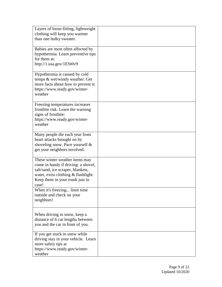| Layers of loose-fitting, lightweight<br>clothing will keep you warmer<br>than one bulky sweater.                                                                                              |  |
|-----------------------------------------------------------------------------------------------------------------------------------------------------------------------------------------------|--|
| Babies are most often affected by<br>hypothermia. Learn preventive tips<br>for them at:<br>http://1.usa.gov/1ESt0v9                                                                           |  |
| Hypothermia is caused by cold<br>temps & wet/windy weather. Get<br>more facts about how to prevent it:<br>https://www.ready.gov/winter-<br>weather                                            |  |
| Freezing temperatures increases<br>frostbite risk. Learn the warning<br>signs of frostbite:<br>https://www.ready.gov/winter-<br>weather                                                       |  |
| Many people die each year from<br>heart attacks brought on by<br>shoveling snow. Pace yourself &<br>get your neighbors involved.                                                              |  |
| These winter weather items may<br>come in handy if driving: a shovel,<br>salt/sand, ice scraper, blankets,<br>water, extra clothing & flashlight.<br>Keep them in your trunk just in<br>case! |  |
| When it's freezing limit time<br>outside and check on your<br>neighbors!                                                                                                                      |  |
| When driving in snow, keep a<br>distance of 6 car lengths between<br>you and the car in front of you.                                                                                         |  |
| If you get stuck in snow while<br>driving stay in your vehicle. Learn<br>more safety tips at<br>https://www.ready.gov/winter-<br>weather                                                      |  |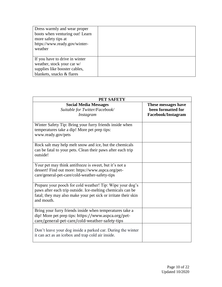| Dress warmly and wear proper<br>boots when venturing out! Learn<br>more safety tips at<br>https://www.ready.gov/winter-<br>weather |  |
|------------------------------------------------------------------------------------------------------------------------------------|--|
| If you have to drive in winter                                                                                                     |  |
| weather, stock your car w/                                                                                                         |  |
| supplies like booster cables,                                                                                                      |  |
| blankets, snacks & flares                                                                                                          |  |

| PET SAFETY                                                                                                                                                                                              |                                                                 |  |
|---------------------------------------------------------------------------------------------------------------------------------------------------------------------------------------------------------|-----------------------------------------------------------------|--|
| <b>Social Media Messages</b><br>Suitable for Twitter/Facebook/<br>Instagram                                                                                                                             | These messages have<br>been formatted for<br>Facebook/Instagram |  |
| Winter Safety Tip: Bring your furry friends inside when<br>temperatures take a dip! More pet prep tips:<br>www.ready.gov/pets                                                                           |                                                                 |  |
| Rock salt may help melt snow and ice, but the chemicals<br>can be fatal to your pets. Clean their paws after each trip<br>outside!                                                                      |                                                                 |  |
| Your pet may think antifreeze is sweet, but it's not a<br>dessert! Find out more: https://www.aspca.org/pet-<br>care/general-pet-care/cold-weather-safety-tips                                          |                                                                 |  |
| Prepare your pooch for cold weather! Tip: Wipe your dog's<br>paws after each trip outside. Ice-melting chemicals can be<br>fatal; they may also make your pet sick or irritate their skin<br>and mouth. |                                                                 |  |
| Bring your furry friends inside when temperatures take a<br>dip! More pet prep tips: https://www.aspca.org/pet-<br>care/general-pet-care/cold-weather-safety-tips                                       |                                                                 |  |
| Don't leave your dog inside a parked car. During the winter<br>it can act as an icebox and trap cold air inside.                                                                                        |                                                                 |  |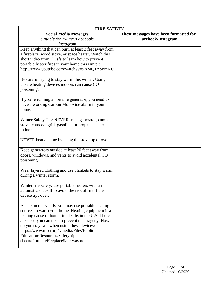| <b>FIRE SAFETY</b>                                                                                                                                                                                                                                                                                                                                                                          |                                                                     |  |
|---------------------------------------------------------------------------------------------------------------------------------------------------------------------------------------------------------------------------------------------------------------------------------------------------------------------------------------------------------------------------------------------|---------------------------------------------------------------------|--|
| <b>Social Media Messages</b><br>Suitable for Twitter/Facebook/<br>Instagram                                                                                                                                                                                                                                                                                                                 | These messages have been formatted for<br><b>Facebook/Instagram</b> |  |
| Keep anything that can burn at least 3 feet away from<br>a fireplace, wood stove, or space heater. Watch this<br>short video from @usfa to learn how to prevent<br>portable heater fires in your home this winter:<br>http://www.youtube.com/watch?v=9AMQ1ASnmNU                                                                                                                            |                                                                     |  |
| Be careful trying to stay warm this winter. Using<br>unsafe heating devices indoors can cause CO<br>poisoning!                                                                                                                                                                                                                                                                              |                                                                     |  |
| If you're running a portable generator, you need to<br>have a working Carbon Monoxide alarm in your<br>home.                                                                                                                                                                                                                                                                                |                                                                     |  |
| Winter Safety Tip: NEVER use a generator, camp<br>stove, charcoal grill, gasoline, or propane heater<br>indoors.                                                                                                                                                                                                                                                                            |                                                                     |  |
| NEVER heat a home by using the stovetop or oven.                                                                                                                                                                                                                                                                                                                                            |                                                                     |  |
| Keep generators outside at least 20 feet away from<br>doors, windows, and vents to avoid accidental CO<br>poisoning.                                                                                                                                                                                                                                                                        |                                                                     |  |
| Wear layered clothing and use blankets to stay warm<br>during a winter storm.                                                                                                                                                                                                                                                                                                               |                                                                     |  |
| Winter fire safety: use portable heaters with an<br>automatic shut-off to avoid the risk of fire if the<br>device tips over.                                                                                                                                                                                                                                                                |                                                                     |  |
| As the mercury falls, you may use portable heating<br>sources to warm your home. Heating equipment is a<br>leading cause of home fire deaths in the U.S. There<br>are steps you can take to prevent this tragedy. How<br>do you stay safe when using these devices?<br>https://www.nfpa.org/-/media/Files/Public-<br>Education/Resources/Safety-tip-<br>sheets/PortableFireplaceSafety.ashx |                                                                     |  |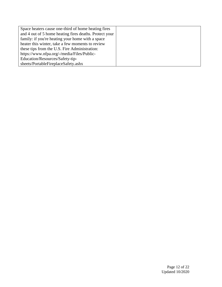| Space heaters cause one-third of home heating fires    |  |
|--------------------------------------------------------|--|
| and 4 out of 5 home heating fires deaths. Protect your |  |
| family: if you're heating your home with a space       |  |
| heater this winter, take a few moments to review       |  |
| these tips from the U.S. Fire Administration:          |  |
| https://www.nfpa.org/-/media/Files/Public-             |  |
| Education/Resources/Safety-tip-                        |  |
| sheets/PortableFireplaceSafety.ashx                    |  |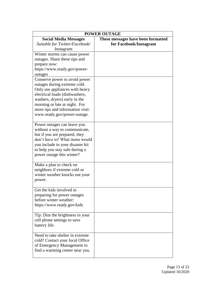| <b>POWER OUTAGE</b>                                                                                                                                                                                                                                                                                                                                                  |                                                              |
|----------------------------------------------------------------------------------------------------------------------------------------------------------------------------------------------------------------------------------------------------------------------------------------------------------------------------------------------------------------------|--------------------------------------------------------------|
| <b>Social Media Messages</b><br>Suitable for Twitter/Facebook/<br>Instagram                                                                                                                                                                                                                                                                                          | These messages have been formatted<br>for Facebook/Instagram |
| Winter storms can cause power<br>outages. Share these tips and<br>prepare now:<br>https://www.ready.gov/power-<br>outages<br>Conserve power to avoid power<br>outages during extreme cold.<br>Only use appliances with heavy<br>electrical loads (dishwashers,<br>washers, dryers) early in the<br>morning or late at night. For<br>more tips and information visit: |                                                              |
| www.ready.gov/power-outage.<br>Power outages can leave you<br>without a way to communicate,<br>but if you are prepared, they<br>don't have to! What items would<br>you include in your disaster kit<br>to help you stay safe during a<br>power outage this winter?                                                                                                   |                                                              |
| Make a plan to check on<br>neighbors if extreme cold or<br>winter weather knocks out your<br>power.                                                                                                                                                                                                                                                                  |                                                              |
| Get the kids involved in<br>preparing for power outages<br>before winter weather:<br>https://www.ready.gov/kids                                                                                                                                                                                                                                                      |                                                              |
| Tip: Dim the brightness in your<br>cell phone settings to save<br>battery life.                                                                                                                                                                                                                                                                                      |                                                              |
| Need to take shelter in extreme<br>cold? Contact your local Office<br>of Emergency Management to<br>find a warming center near you.                                                                                                                                                                                                                                  |                                                              |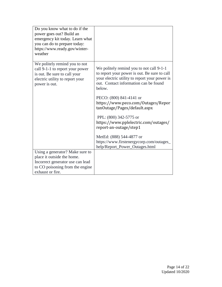| Do you know what to do if the<br>power goes out? Build an<br>emergency kit today. Learn what<br>you can do to prepare today:<br>https://www.ready.gov/winter-<br>weather |                                                                                                                                                                                              |
|--------------------------------------------------------------------------------------------------------------------------------------------------------------------------|----------------------------------------------------------------------------------------------------------------------------------------------------------------------------------------------|
| We politely remind you to not<br>call 9-1-1 to report your power<br>is out. Be sure to call your<br>electric utility to report your<br>power is out.                     | We politely remind you to not call 9-1-1<br>to report your power is out. Be sure to call<br>your electric utility to report your power is<br>out. Contact information can be found<br>below. |
|                                                                                                                                                                          | PECO: (800) 841-4141 or<br>https://www.peco.com/Outages/Repor<br>tanOutage/Pages/default.aspx                                                                                                |
|                                                                                                                                                                          | PPL: (800) 342-5775 or<br>https://www.pplelectric.com/outages/<br>report-an-outage/step1                                                                                                     |
|                                                                                                                                                                          | MetEd: (888) 544-4877 or<br>https://www.firstenergycorp.com/outages_<br>help/Report_Power_Outages.html                                                                                       |
| Using a generator? Make sure to<br>place it outside the home.<br>Incorrect generator use can lead<br>to CO poisoning from the engine<br>exhaust or fire.                 |                                                                                                                                                                                              |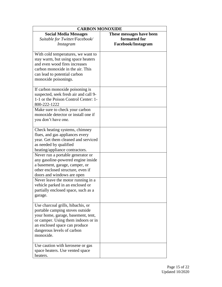| <b>CARBON MONOXIDE</b>                                                                                                                                                                                                        |                                                                        |
|-------------------------------------------------------------------------------------------------------------------------------------------------------------------------------------------------------------------------------|------------------------------------------------------------------------|
| <b>Social Media Messages</b><br>Suitable for Twitter/Facebook/<br>Instagram                                                                                                                                                   | These messages have been<br>formatted for<br><b>Facebook/Instagram</b> |
| With cold temperatures, we want to<br>stay warm, but using space heaters<br>and even wood fires increases<br>carbon monoxide in the air. This<br>can lead to potential carbon<br>monoxide poisonings.                         |                                                                        |
| If carbon monoxide poisoning is<br>suspected, seek fresh air and call 9-<br>1-1 or the Poison Control Center: 1-<br>800-222-1222                                                                                              |                                                                        |
| Make sure to check your carbon<br>monoxide detector or install one if<br>you don't have one.                                                                                                                                  |                                                                        |
| Check heating systems, chimney<br>flues, and gas appliances every<br>year. Get them cleaned and serviced<br>as needed by qualified<br>heating/appliance contractors.                                                          |                                                                        |
| Never run a portable generator or<br>any gasoline-powered engine inside<br>a basement, garage, camper, or<br>other enclosed structure, even if<br>doors and windows are open                                                  |                                                                        |
| Never leave the motor running in a<br>vehicle parked in an enclosed or<br>partially enclosed space, such as a<br>garage.                                                                                                      |                                                                        |
| Use charcoal grills, hibachis, or<br>portable camping stoves outside<br>your home, garage, basement, tent,<br>or camper. Using them indoors or in<br>an enclosed space can produce<br>dangerous levels of carbon<br>monoxide. |                                                                        |
| Use caution with kerosene or gas<br>space heaters. Use vented space<br>heaters.                                                                                                                                               |                                                                        |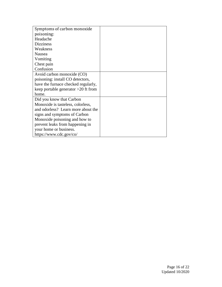| Symptoms of carbon monoxide           |  |
|---------------------------------------|--|
| poisoning:                            |  |
| Headache                              |  |
| <b>Dizziness</b>                      |  |
| Weakness                              |  |
| Nausea                                |  |
| Vomiting                              |  |
| Chest pain                            |  |
| Confusion                             |  |
| Avoid carbon monoxide (CO)            |  |
| poisoning: install CO detectors,      |  |
| have the furnace checked regularly,   |  |
| keep portable generator $>20$ ft from |  |
| home.                                 |  |
| Did you know that Carbon              |  |
| Monoxide is tasteless, colorless,     |  |
| and odorless? Learn more about the    |  |
| signs and symptoms of Carbon          |  |
| Monoxide poisoning and how to         |  |
| prevent leaks from happening in       |  |
| your home or business.                |  |
| https://www.cdc.gov/co/               |  |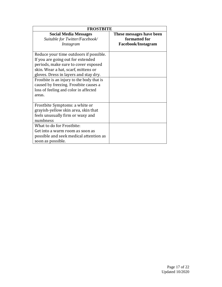| <b>FROSTBITE</b>                                                                                                                                                                                                                                                                                                                              |                                                                        |
|-----------------------------------------------------------------------------------------------------------------------------------------------------------------------------------------------------------------------------------------------------------------------------------------------------------------------------------------------|------------------------------------------------------------------------|
| <b>Social Media Messages</b><br>Suitable for Twitter/Facebook/<br>Instagram                                                                                                                                                                                                                                                                   | These messages have been<br>formatted for<br><b>Facebook/Instagram</b> |
| Reduce your time outdoors if possible.<br>If you are going out for extended<br>periods, make sure to cover exposed<br>skin. Wear a hat, scarf, mittens or<br>gloves. Dress in layers and stay dry.<br>Frostbite is an injury to the body that is<br>caused by freezing. Frostbite causes a<br>loss of feeling and color in affected<br>areas. |                                                                        |
| Frostbite Symptoms: a white or<br>grayish-yellow skin area, skin that<br>feels unusually firm or waxy and<br>numbness<br>What to do for Frostbite:<br>Get into a warm room as soon as<br>possible and seek medical attention as<br>soon as possible.                                                                                          |                                                                        |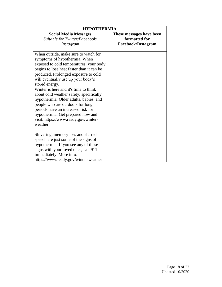| <b>HYPOTHERMIA</b>                                                                                                                                                                                                                                                                                                                                                                                                                                                                                                                                            |                                                                        |
|---------------------------------------------------------------------------------------------------------------------------------------------------------------------------------------------------------------------------------------------------------------------------------------------------------------------------------------------------------------------------------------------------------------------------------------------------------------------------------------------------------------------------------------------------------------|------------------------------------------------------------------------|
| <b>Social Media Messages</b><br>Suitable for Twitter/Facebook/<br>Instagram                                                                                                                                                                                                                                                                                                                                                                                                                                                                                   | These messages have been<br>formatted for<br><b>Facebook/Instagram</b> |
| When outside, make sure to watch for<br>symptoms of hypothermia. When<br>exposed to cold temperatures, your body<br>begins to lose heat faster than it can be<br>produced. Prolonged exposure to cold<br>will eventually use up your body's<br>stored energy.<br>Winter is here and it's time to think<br>about cold weather safety; specifically<br>hypothermia. Older adults, babies, and<br>people who are outdoors for long<br>periods have an increased risk for<br>hypothermia. Get prepared now and<br>visit: https://www.ready.gov/winter-<br>weather |                                                                        |
| Shivering, memory loss and slurred<br>speech are just some of the signs of<br>hypothermia. If you see any of these<br>signs with your loved ones, call 911<br>immediately. More info:<br>https://www.ready.gov/winter-weather                                                                                                                                                                                                                                                                                                                                 |                                                                        |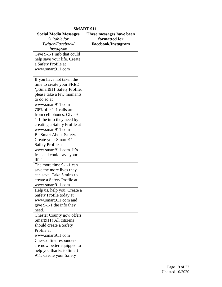| <b>SMART 911</b>                 |                           |
|----------------------------------|---------------------------|
| <b>Social Media Messages</b>     | These messages have been  |
| Suitable for                     | formatted for             |
| Twitter/Facebook/                | <b>Facebook/Instagram</b> |
| Instagram                        |                           |
| Give 9-1-1 info that could       |                           |
| help save your life. Create      |                           |
| a Safety Profile at              |                           |
| www.smart911.com                 |                           |
|                                  |                           |
| If you have not taken the        |                           |
| time to create your FREE         |                           |
| @Smart911 Safety Profile,        |                           |
| please take a few moments        |                           |
| to do so at                      |                           |
| www.smart911.com                 |                           |
| 70% of 9-1-1 calls are           |                           |
| from cell phones. Give 9-        |                           |
| 1-1 the info they need by        |                           |
| creating a Safety Profile at     |                           |
| www.smart911.com                 |                           |
| Be Smart About Safety.           |                           |
| Create your Smart911             |                           |
| Safety Profile at                |                           |
| www.smart911.com. It's           |                           |
| free and could save your         |                           |
| life!                            |                           |
| The more time 9-1-1 can          |                           |
| save the more lives they         |                           |
| can save. Take 5 mins to         |                           |
| create a Safety Profile at       |                           |
| www.smart911.com                 |                           |
| Help us, help you. Create a      |                           |
| Safety Profile today at          |                           |
| www.smart911.com and             |                           |
| give 9-1-1 the info they         |                           |
| need.                            |                           |
| <b>Chester County now offers</b> |                           |
| Smart911! All citizens           |                           |
| should create a Safety           |                           |
| Profile at                       |                           |
| www.smart911.com                 |                           |
| ChesCo first responders          |                           |
| are now better equipped to       |                           |
| help you thanks to Smart         |                           |
| 911. Create your Safety          |                           |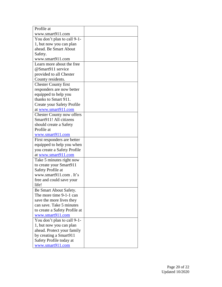| Profile at                       |  |
|----------------------------------|--|
| www.smart911.com                 |  |
| You don't plan to call 9-1-      |  |
| 1, but now you can plan          |  |
| ahead. Be Smart About            |  |
| Safety.                          |  |
| www.smart911.com                 |  |
| Learn more about the free        |  |
| @Smart911 service                |  |
| provided to all Chester          |  |
| County residents.                |  |
| <b>Chester County first</b>      |  |
| responders are now better        |  |
| equipped to help you             |  |
| thanks to Smart 911.             |  |
| Create your Safety Profile       |  |
| at www.smart911.com              |  |
| <b>Chester County now offers</b> |  |
| Smart911! All citizens           |  |
| should create a Safety           |  |
| Profile at                       |  |
| <u>www.smart911.com</u>          |  |
| First responders are better      |  |
| equipped to help you when        |  |
| you create a Safety Profile      |  |
| at www.smart911.com              |  |
| Take 5 minutes right now         |  |
| to create your Smart911          |  |
| Safety Profile at                |  |
| www.smart911.com. It's           |  |
| free and could save your         |  |
| life!                            |  |
| Be Smart About Safety.           |  |
| The more time 9-1-1 can          |  |
| save the more lives they         |  |
| can save. Take 5 minutes         |  |
| to create a Safety Profile at    |  |
| www.smart911.com                 |  |
| You don't plan to call 9-1-      |  |
| 1, but now you can plan          |  |
| ahead. Protect your family       |  |
| by creating a Smart911           |  |
| Safety Profile today at          |  |
| www.smart911.com                 |  |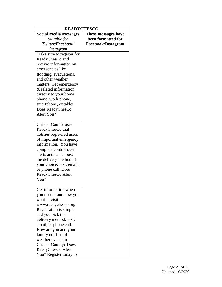| <b>READYCHESCO</b>                                                                                                                                                                                                                                                                                                                                                                        |                                                                        |
|-------------------------------------------------------------------------------------------------------------------------------------------------------------------------------------------------------------------------------------------------------------------------------------------------------------------------------------------------------------------------------------------|------------------------------------------------------------------------|
| <b>Social Media Messages</b><br>Suitable for<br>Twitter/Facebook/<br>Instagram<br>Make sure to register for<br>ReadyChesCo and<br>receive information on<br>emergencies like<br>flooding, evacuations,<br>and other weather<br>matters. Get emergency<br>& related information<br>directly to your home<br>phone, work phone,<br>smartphone, or tablet.<br>Does ReadyChesCo<br>Alert You? | These messages have<br>been formatted for<br><b>Facebook/Instagram</b> |
| <b>Chester County uses</b><br>ReadyChesCo that<br>notifies registered users<br>of important emergency<br>information. You have<br>complete control over<br>alerts and can choose<br>the delivery method of<br>your choice: text, email,<br>or phone call. Does<br>ReadyChesCo Alert<br>You?                                                                                               |                                                                        |
| Get information when<br>you need it and how you<br>want it, visit<br>www.readychesco.org<br>Registration is simple<br>and you pick the<br>delivery method: text,<br>email, or phone call.<br>How are you and your<br>family notified of<br>weather events in<br><b>Chester County? Does</b><br>ReadyChesCo Alert<br>You? Register today to                                                |                                                                        |